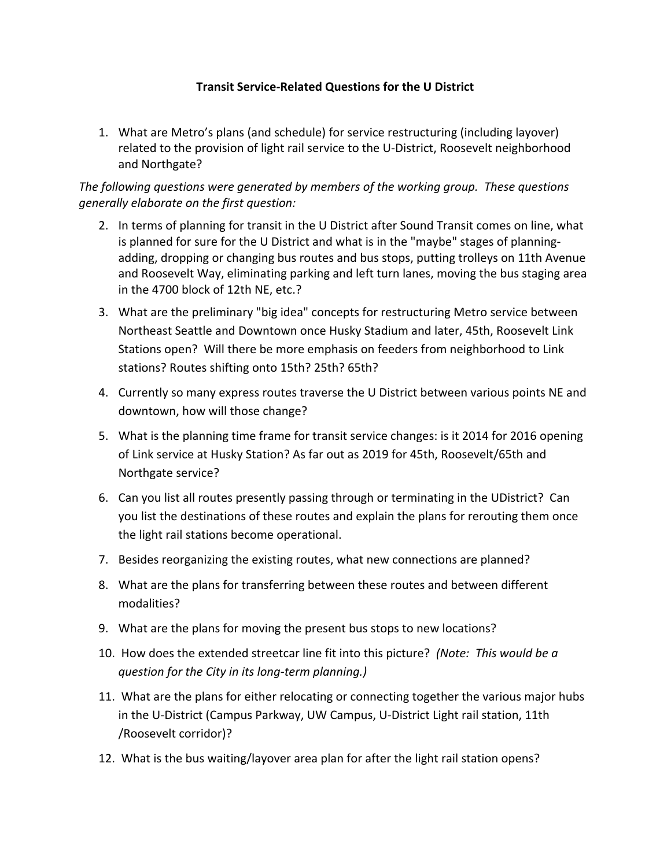## **Transit Service‐Related Questions for the U District**

1. What are Metro's plans (and schedule) for service restructuring (including layover) related to the provision of light rail service to the U‐District, Roosevelt neighborhood and Northgate?

*The following questions were generated by members of the working group. These questions generally elaborate on the first question:* 

- 2. In terms of planning for transit in the U District after Sound Transit comes on line, what is planned for sure for the U District and what is in the "maybe" stages of planning‐ adding, dropping or changing bus routes and bus stops, putting trolleys on 11th Avenue and Roosevelt Way, eliminating parking and left turn lanes, moving the bus staging area in the 4700 block of 12th NE, etc.?
- 3. What are the preliminary "big idea" concepts for restructuring Metro service between Northeast Seattle and Downtown once Husky Stadium and later, 45th, Roosevelt Link Stations open? Will there be more emphasis on feeders from neighborhood to Link stations? Routes shifting onto 15th? 25th? 65th?
- 4. Currently so many express routes traverse the U District between various points NE and downtown, how will those change?
- 5. What is the planning time frame for transit service changes: is it 2014 for 2016 opening of Link service at Husky Station? As far out as 2019 for 45th, Roosevelt/65th and Northgate service?
- 6. Can you list all routes presently passing through or terminating in the UDistrict? Can you list the destinations of these routes and explain the plans for rerouting them once the light rail stations become operational.
- 7. Besides reorganizing the existing routes, what new connections are planned?
- 8. What are the plans for transferring between these routes and between different modalities?
- 9. What are the plans for moving the present bus stops to new locations?
- 10. How does the extended streetcar line fit into this picture? *(Note: This would be a question for the City in its long‐term planning.)*
- 11. What are the plans for either relocating or connecting together the various major hubs in the U‐District (Campus Parkway, UW Campus, U‐District Light rail station, 11th /Roosevelt corridor)?
- 12. What is the bus waiting/layover area plan for after the light rail station opens?